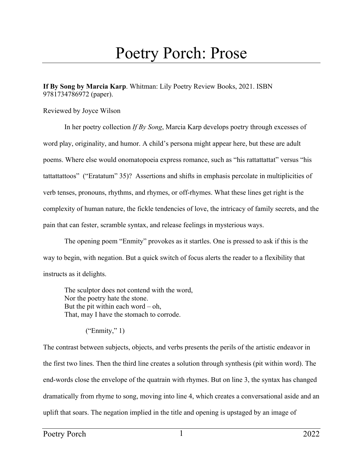## Poetry Porch: Prose

**If By Song by Marcia Karp**. Whitman: Lily Poetry Review Books, 2021. ISBN 9781734786972 (paper).

Reviewed by Joyce Wilson

In her poetry collection *If By Song*, Marcia Karp develops poetry through excesses of word play, originality, and humor. A child's persona might appear here, but these are adult poems. Where else would onomatopoeia express romance, such as "his rattattattat" versus "his tattattattoos" ("Eratatum" 35)? Assertions and shifts in emphasis percolate in multiplicities of verb tenses, pronouns, rhythms, and rhymes, or off-rhymes. What these lines get right is the complexity of human nature, the fickle tendencies of love, the intricacy of family secrets, and the pain that can fester, scramble syntax, and release feelings in mysterious ways.

The opening poem "Enmity" provokes as it startles. One is pressed to ask if this is the way to begin, with negation. But a quick switch of focus alerts the reader to a flexibility that instructs as it delights.

The sculptor does not contend with the word, Nor the poetry hate the stone. But the pit within each word  $-$  oh, That, may I have the stomach to corrode.

("Enmity," 1)

The contrast between subjects, objects, and verbs presents the perils of the artistic endeavor in the first two lines. Then the third line creates a solution through synthesis (pit within word). The end-words close the envelope of the quatrain with rhymes. But on line 3, the syntax has changed dramatically from rhyme to song, moving into line 4, which creates a conversational aside and an uplift that soars. The negation implied in the title and opening is upstaged by an image of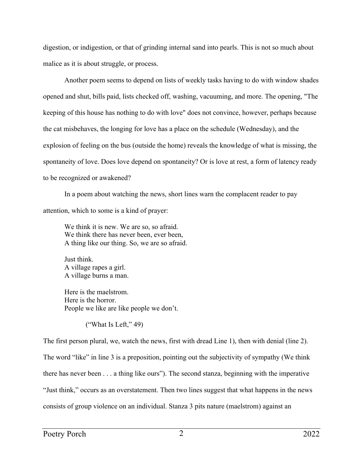digestion, or indigestion, or that of grinding internal sand into pearls. This is not so much about malice as it is about struggle, or process.

Another poem seems to depend on lists of weekly tasks having to do with window shades opened and shut, bills paid, lists checked off, washing, vacuuming, and more. The opening, "The keeping of this house has nothing to do with love" does not convince, however, perhaps because the cat misbehaves, the longing for love has a place on the schedule (Wednesday), and the explosion of feeling on the bus (outside the home) reveals the knowledge of what is missing, the spontaneity of love. Does love depend on spontaneity? Or is love at rest, a form of latency ready to be recognized or awakened?

In a poem about watching the news, short lines warn the complacent reader to pay attention, which to some is a kind of prayer:

We think it is new. We are so, so afraid. We think there has never been, ever been, A thing like our thing. So, we are so afraid.

Just think. A village rapes a girl. A village burns a man.

Here is the maelstrom. Here is the horror. People we like are like people we don't.

("What Is Left," 49)

The first person plural, we, watch the news, first with dread Line 1), then with denial (line 2). The word "like" in line 3 is a preposition, pointing out the subjectivity of sympathy (We think there has never been . . . a thing like ours"). The second stanza, beginning with the imperative "Just think," occurs as an overstatement. Then two lines suggest that what happens in the news consists of group violence on an individual. Stanza 3 pits nature (maelstrom) against an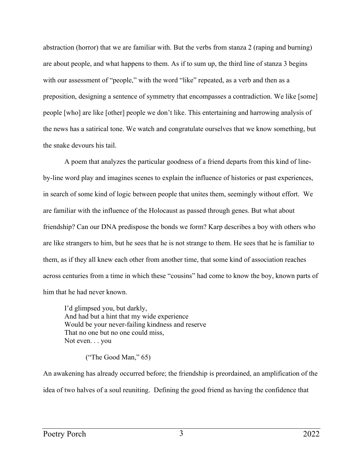abstraction (horror) that we are familiar with. But the verbs from stanza 2 (raping and burning) are about people, and what happens to them. As if to sum up, the third line of stanza 3 begins with our assessment of "people," with the word "like" repeated, as a verb and then as a preposition, designing a sentence of symmetry that encompasses a contradiction. We like [some] people [who] are like [other] people we don't like. This entertaining and harrowing analysis of the news has a satirical tone. We watch and congratulate ourselves that we know something, but the snake devours his tail.

A poem that analyzes the particular goodness of a friend departs from this kind of lineby-line word play and imagines scenes to explain the influence of histories or past experiences, in search of some kind of logic between people that unites them, seemingly without effort. We are familiar with the influence of the Holocaust as passed through genes. But what about friendship? Can our DNA predispose the bonds we form? Karp describes a boy with others who are like strangers to him, but he sees that he is not strange to them. He sees that he is familiar to them, as if they all knew each other from another time, that some kind of association reaches across centuries from a time in which these "cousins" had come to know the boy, known parts of him that he had never known.

I'd glimpsed you, but darkly, And had but a hint that my wide experience Would be your never-failing kindness and reserve That no one but no one could miss, Not even. . . you

("The Good Man," 65)

An awakening has already occurred before; the friendship is preordained, an amplification of the idea of two halves of a soul reuniting. Defining the good friend as having the confidence that